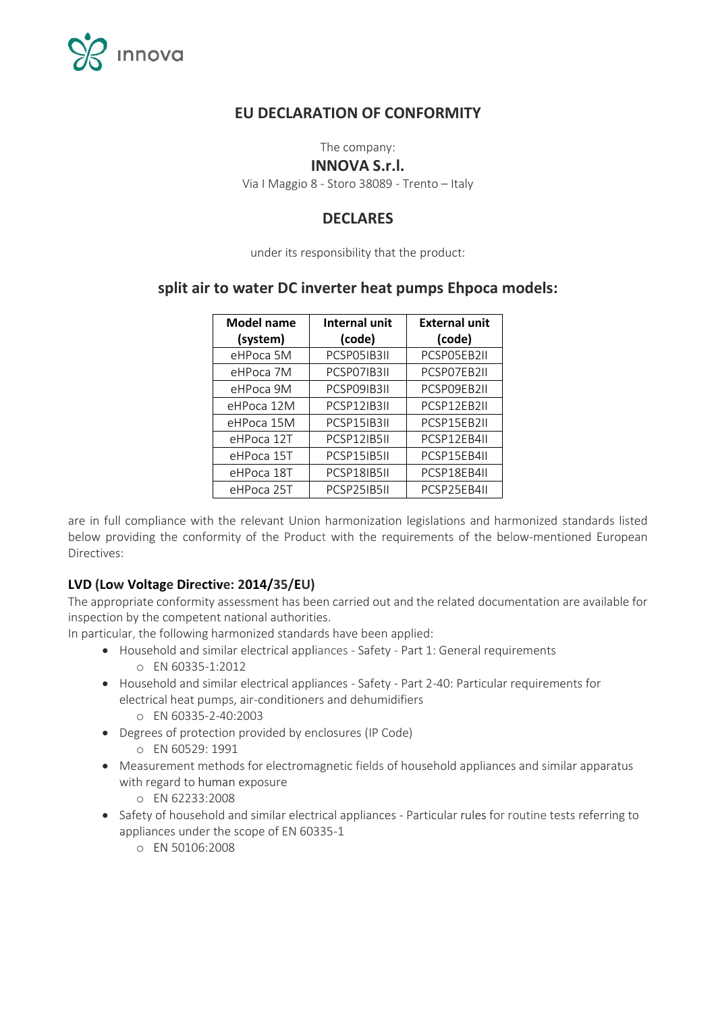

# **EU DECLARATION OF CONFORMITY**

The company:

#### **INNOVA S.r.l.**

Via I Maggio 8 - Storo 38089 - Trento – Italy

# **DECLARES**

under its responsibility that the product:

## **split air to water DC inverter heat pumps Ehpoca models:**

| <b>Model name</b> | <b>Internal unit</b> | <b>External unit</b> |
|-------------------|----------------------|----------------------|
| (system)          | (code)               | (code)               |
| eHPoca 5M         | PCSP05IB3II          | PCSP05EB2II          |
| eHPoca 7M         | PCSP07IB3II          | PCSP07EB2II          |
| eHPoca 9M         | PCSP09IB3II          | PCSP09EB2II          |
| eHPoca 12M        | PCSP12IB3II          | PCSP12EB2II          |
| eHPoca 15M        | PCSP15IB3II          | PCSP15EB2II          |
| eHPoca 12T        | PCSP12IB5II          | PCSP12EB4II          |
| eHPoca 15T        | PCSP15IB5II          | PCSP15EB4II          |
| eHPoca 18T        | PCSP18IB5II          | PCSP18EB4II          |
| eHPoca 25T        | PCSP25IB5II          | PCSP25EB4II          |

are in full compliance with the relevant Union harmonization legislations and harmonized standards listed below providing the conformity of the Product with the requirements of the below-mentioned European Directives:

### **LVD (Low Voltage Directive: 2014/35/EU)**

The appropriate conformity assessment has been carried out and the related documentation are available for inspection by the competent national authorities.

In particular, the following harmonized standards have been applied:

- Household and similar electrical appliances Safety Part 1: General requirements o EN 60335-1:2012
- Household and similar electrical appliances Safety Part 2-40: Particular requirements for electrical heat pumps, air-conditioners and dehumidifiers
	- o EN 60335-2-40:2003
- Degrees of protection provided by enclosures (IP Code)
	- o EN 60529: 1991
- Measurement methods for electromagnetic fields of household appliances and similar apparatus with regard to human exposure
	- o EN 62233:2008
- Safety of household and similar electrical appliances Particular rules for routine tests referring to appliances under the scope of EN 60335-1
	- o EN 50106:2008